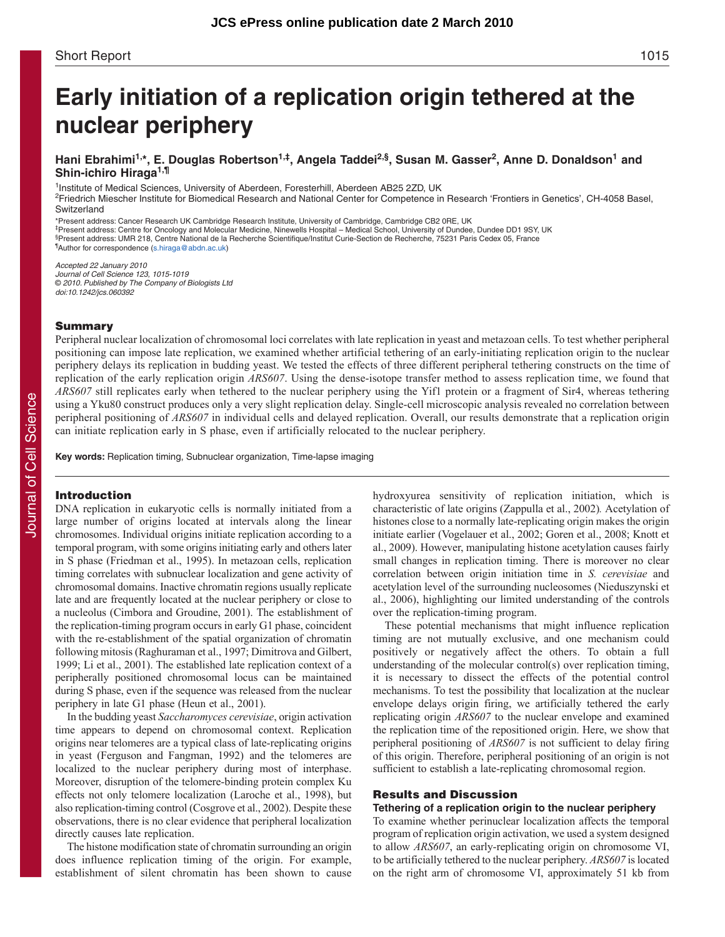# **Early initiation of a replication origin tethered at the nuclear periphery**

# **Hani Ebrahimi1,\*, E. Douglas Robertson1,‡, Angela Taddei2,§, Susan M. Gasser2, Anne D. Donaldson1 and Shin-ichiro Hiraga1,¶**

<sup>1</sup>Institute of Medical Sciences, University of Aberdeen, Foresterhill, Aberdeen AB25 2ZD, UK

2Friedrich Miescher Institute for Biomedical Research and National Center for Competence in Research 'Frontiers in Genetics', CH-4058 Basel, Switzerland

\*Present address: Cancer Research UK Cambridge Research Institute, University of Cambridge, Cambridge CB2 0RE, UK ‡Present address: Centre for Oncology and Molecular Medicine, Ninewells Hospital – Medical School, University of Dundee, Dundee DD1 9SY, UK §Present address: UMR 218, Centre National de la Recherche Scientifique/Institut Curie-Section de Recherche, 75231 Paris Cedex 05, France ¶ Author for correspondence (s.hiraga@abdn.ac.uk)

Accepted 22 January 2010 Journal of Cell Science 123, 1015-1019 © 2010. Published by The Company of Biologists Ltd doi:10.1242/jcs.060392

### **Summary**

Peripheral nuclear localization of chromosomal loci correlates with late replication in yeast and metazoan cells. To test whether peripheral positioning can impose late replication, we examined whether artificial tethering of an early-initiating replication origin to the nuclear periphery delays its replication in budding yeast. We tested the effects of three different peripheral tethering constructs on the time of replication of the early replication origin *ARS607*. Using the dense-isotope transfer method to assess replication time, we found that *ARS607* still replicates early when tethered to the nuclear periphery using the Yif1 protein or a fragment of Sir4, whereas tethering using a Yku80 construct produces only a very slight replication delay. Single-cell microscopic analysis revealed no correlation between peripheral positioning of *ARS607* in individual cells and delayed replication. Overall, our results demonstrate that a replication origin can initiate replication early in S phase, even if artificially relocated to the nuclear periphery.

**Key words:** Replication timing, Subnuclear organization, Time-lapse imaging

# **Introduction**

DNA replication in eukaryotic cells is normally initiated from a large number of origins located at intervals along the linear chromosomes. Individual origins initiate replication according to a temporal program, with some origins initiating early and others later in S phase (Friedman et al., 1995). In metazoan cells, replication timing correlates with subnuclear localization and gene activity of chromosomal domains. Inactive chromatin regions usually replicate late and are frequently located at the nuclear periphery or close to a nucleolus (Cimbora and Groudine, 2001). The establishment of the replication-timing program occurs in early G1 phase, coincident with the re-establishment of the spatial organization of chromatin following mitosis (Raghuraman et al., 1997; Dimitrova and Gilbert, 1999; Li et al., 2001). The established late replication context of a peripherally positioned chromosomal locus can be maintained during S phase, even if the sequence was released from the nuclear periphery in late G1 phase (Heun et al., 2001).

In the budding yeast *Saccharomyces cerevisiae*, origin activation time appears to depend on chromosomal context. Replication origins near telomeres are a typical class of late-replicating origins in yeast (Ferguson and Fangman, 1992) and the telomeres are localized to the nuclear periphery during most of interphase. Moreover, disruption of the telomere-binding protein complex Ku effects not only telomere localization (Laroche et al., 1998), but also replication-timing control (Cosgrove et al., 2002). Despite these observations, there is no clear evidence that peripheral localization directly causes late replication.

The histone modification state of chromatin surrounding an origin does influence replication timing of the origin. For example, establishment of silent chromatin has been shown to cause hydroxyurea sensitivity of replication initiation, which is characteristic of late origins (Zappulla et al., 2002)*.* Acetylation of histones close to a normally late-replicating origin makes the origin initiate earlier (Vogelauer et al., 2002; Goren et al., 2008; Knott et al., 2009). However, manipulating histone acetylation causes fairly small changes in replication timing. There is moreover no clear correlation between origin initiation time in *S. cerevisiae* and acetylation level of the surrounding nucleosomes (Nieduszynski et al., 2006), highlighting our limited understanding of the controls over the replication-timing program.

These potential mechanisms that might influence replication timing are not mutually exclusive, and one mechanism could positively or negatively affect the others. To obtain a full understanding of the molecular control(s) over replication timing, it is necessary to dissect the effects of the potential control mechanisms. To test the possibility that localization at the nuclear envelope delays origin firing, we artificially tethered the early replicating origin *ARS607* to the nuclear envelope and examined the replication time of the repositioned origin. Here, we show that peripheral positioning of *ARS607* is not sufficient to delay firing of this origin. Therefore, peripheral positioning of an origin is not sufficient to establish a late-replicating chromosomal region.

## **Results and Discussion**

## **Tethering of a replication origin to the nuclear periphery**

To examine whether perinuclear localization affects the temporal program of replication origin activation, we used a system designed to allow *ARS607*, an early-replicating origin on chromosome VI, to be artificially tethered to the nuclear periphery. *ARS607* is located on the right arm of chromosome VI, approximately 51 kb from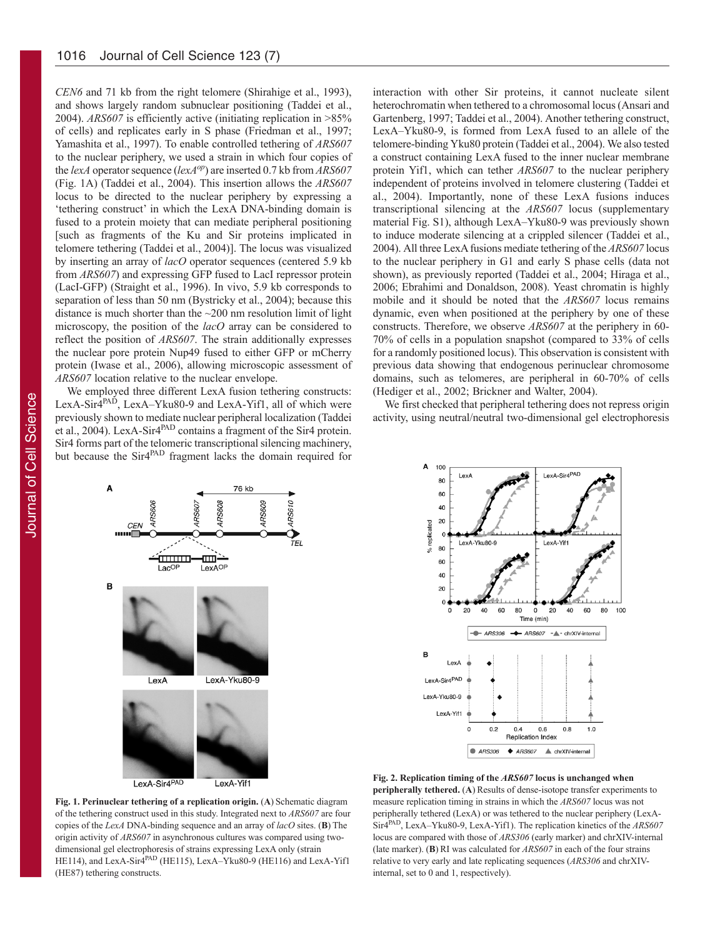*CEN6* and 71 kb from the right telomere (Shirahige et al., 1993), and shows largely random subnuclear positioning (Taddei et al., 2004). *ARS607* is efficiently active (initiating replication in >85% of cells) and replicates early in S phase (Friedman et al., 1997; Yamashita et al., 1997). To enable controlled tethering of *ARS607* to the nuclear periphery, we used a strain in which four copies of the *lexA* operator sequence (*lexAop*) are inserted 0.7 kb from *ARS607* (Fig. 1A) (Taddei et al., 2004). This insertion allows the *ARS607* locus to be directed to the nuclear periphery by expressing a 'tethering construct' in which the LexA DNA-binding domain is fused to a protein moiety that can mediate peripheral positioning [such as fragments of the Ku and Sir proteins implicated in telomere tethering (Taddei et al., 2004)]. The locus was visualized by inserting an array of *lacO* operator sequences (centered 5.9 kb from *ARS607*) and expressing GFP fused to LacI repressor protein (LacI-GFP) (Straight et al., 1996). In vivo, 5.9 kb corresponds to separation of less than 50 nm (Bystricky et al., 2004); because this distance is much shorter than the  $\sim$ 200 nm resolution limit of light microscopy, the position of the *lacO* array can be considered to reflect the position of *ARS607*. The strain additionally expresses the nuclear pore protein Nup49 fused to either GFP or mCherry protein (Iwase et al., 2006), allowing microscopic assessment of *ARS607* location relative to the nuclear envelope.

We employed three different LexA fusion tethering constructs: LexA-Sir4<sup>PAD</sup>, LexA-Yku80-9 and LexA-Yif1, all of which were previously shown to mediate nuclear peripheral localization (Taddei et al., 2004). LexA-Sir $4^{PAD}$  contains a fragment of the Sir4 protein. Sir4 forms part of the telomeric transcriptional silencing machinery, but because the Sir4<sup>PAD</sup> fragment lacks the domain required for interaction with other Sir proteins, it cannot nucleate silent heterochromatin when tethered to a chromosomal locus (Ansari and Gartenberg, 1997; Taddei et al., 2004). Another tethering construct, LexA–Yku80-9, is formed from LexA fused to an allele of the telomere-binding Yku80 protein (Taddei et al., 2004). We also tested a construct containing LexA fused to the inner nuclear membrane protein Yif1, which can tether *ARS607* to the nuclear periphery independent of proteins involved in telomere clustering (Taddei et al., 2004). Importantly, none of these LexA fusions induces transcriptional silencing at the *ARS607* locus (supplementary material Fig. S1), although LexA–Yku80-9 was previously shown to induce moderate silencing at a crippled silencer (Taddei et al., 2004). All three LexA fusions mediate tethering of the *ARS607* locus to the nuclear periphery in G1 and early S phase cells (data not shown), as previously reported (Taddei et al., 2004; Hiraga et al., 2006; Ebrahimi and Donaldson, 2008). Yeast chromatin is highly mobile and it should be noted that the *ARS607* locus remains dynamic, even when positioned at the periphery by one of these constructs. Therefore, we observe *ARS607* at the periphery in 60- 70% of cells in a population snapshot (compared to 33% of cells for a randomly positioned locus). This observation is consistent with previous data showing that endogenous perinuclear chromosome domains, such as telomeres, are peripheral in 60-70% of cells (Hediger et al., 2002; Brickner and Walter, 2004).

We first checked that peripheral tethering does not repress origin activity, using neutral/neutral two-dimensional gel electrophoresis



LexA-Sir4PAD LexA-Yif1



**Fig. 1. Perinuclear tethering of a replication origin.** (**A**) Schematic diagram of the tethering construct used in this study. Integrated next to *ARS607* are four copies of the *LexA* DNA-binding sequence and an array of *lacO* sites. (**B**) The origin activity of *ARS607* in asynchronous cultures was compared using twodimensional gel electrophoresis of strains expressing LexA only (strain HE114), and LexA-Sir4<sup>PAD</sup> (HE115), LexA-Yku80-9 (HE116) and LexA-Yif1 (HE87) tethering constructs.

**Fig. 2. Replication timing of the** *ARS607* **locus is unchanged when peripherally tethered.** (A) Results of dense-isotope transfer experiments to measure replication timing in strains in which the *ARS607* locus was not peripherally tethered (LexA) or was tethered to the nuclear periphery (LexA-Sir4PAD, LexA–Yku80-9, LexA-Yif1). The replication kinetics of the *ARS607* locus are compared with those of *ARS306* (early marker) and chrXIV-internal (late marker). (**B**) RI was calculated for *ARS607* in each of the four strains relative to very early and late replicating sequences (*ARS306* and chrXIVinternal, set to 0 and 1, respectively).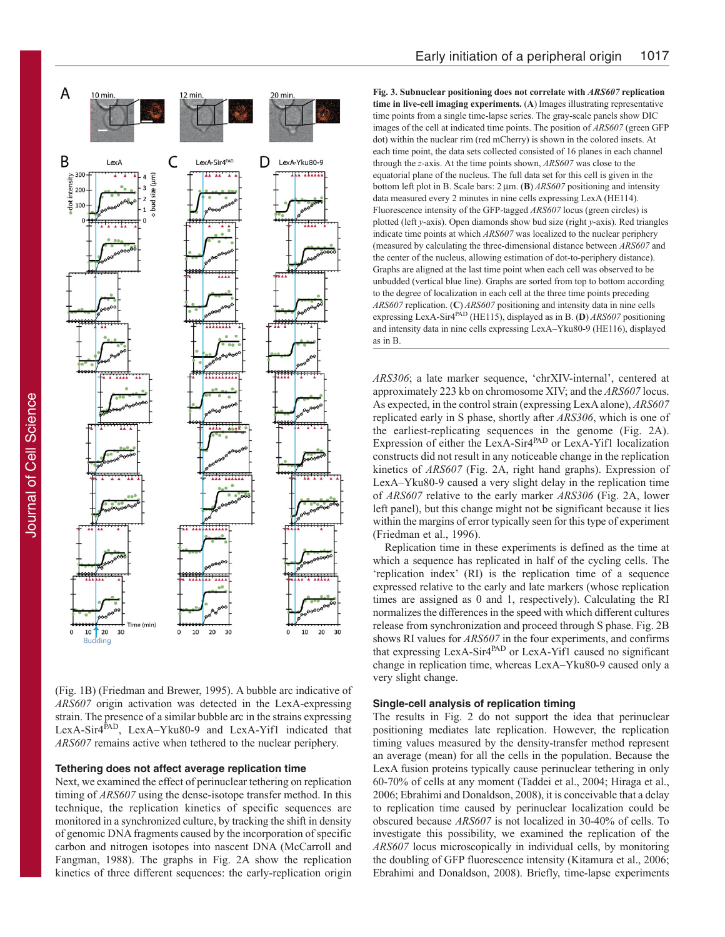

(Fig. 1B) (Friedman and Brewer, 1995). A bubble arc indicative of *ARS607* origin activation was detected in the LexA-expressing strain. The presence of a similar bubble arc in the strains expressing LexA-Sir4<sup>PAD</sup>, LexA-Yku80-9 and LexA-Yif1 indicated that *ARS607* remains active when tethered to the nuclear periphery.

### **Tethering does not affect average replication time**

Next, we examined the effect of perinuclear tethering on replication timing of *ARS607* using the dense-isotope transfer method. In this technique, the replication kinetics of specific sequences are monitored in a synchronized culture, by tracking the shift in density of genomic DNA fragments caused by the incorporation of specific carbon and nitrogen isotopes into nascent DNA (McCarroll and Fangman, 1988). The graphs in Fig. 2A show the replication kinetics of three different sequences: the early-replication origin **Fig. 3. Subnuclear positioning does not correlate with** *ARS607* **replication time in live-cell imaging experiments.** (**A**) Images illustrating representative time points from a single time-lapse series. The gray-scale panels show DIC images of the cell at indicated time points. The position of *ARS607* (green GFP dot) within the nuclear rim (red mCherry) is shown in the colored insets. At each time point, the data sets collected consisted of 16 planes in each channel through the *z*-axis. At the time points shown, *ARS607* was close to the equatorial plane of the nucleus. The full data set for this cell is given in the bottom left plot in B. Scale bars:  $2 \mu m$ . (**B**) *ARS607* positioning and intensity data measured every 2 minutes in nine cells expressing LexA (HE114). Fluorescence intensity of the GFP-tagged *ARS607* locus (green circles) is plotted (left *y*-axis). Open diamonds show bud size (right *y*-axis). Red triangles indicate time points at which *ARS607* was localized to the nuclear periphery (measured by calculating the three-dimensional distance between *ARS607* and the center of the nucleus, allowing estimation of dot-to-periphery distance). Graphs are aligned at the last time point when each cell was observed to be unbudded (vertical blue line). Graphs are sorted from top to bottom according to the degree of localization in each cell at the three time points preceding *ARS607* replication. (**C**) *ARS607* positioning and intensity data in nine cells expressing LexA-Sir4PAD (HE115), displayed as in B. (**D**) *ARS607* positioning and intensity data in nine cells expressing LexA–Yku80-9 (HE116), displayed as in B.

*ARS306*; a late marker sequence, 'chrXIV-internal', centered at approximately 223 kb on chromosome XIV; and the *ARS607* locus. As expected, in the control strain (expressing LexA alone), *ARS607* replicated early in S phase, shortly after *ARS306*, which is one of the earliest-replicating sequences in the genome (Fig. 2A). Expression of either the LexA-Sir4<sup>PAD</sup> or LexA-Yif1 localization constructs did not result in any noticeable change in the replication kinetics of *ARS607* (Fig. 2A, right hand graphs). Expression of LexA–Yku80-9 caused a very slight delay in the replication time of *ARS607* relative to the early marker *ARS306* (Fig. 2A, lower left panel), but this change might not be significant because it lies within the margins of error typically seen for this type of experiment (Friedman et al., 1996).

Replication time in these experiments is defined as the time at which a sequence has replicated in half of the cycling cells. The 'replication index' (RI) is the replication time of a sequence expressed relative to the early and late markers (whose replication times are assigned as 0 and 1, respectively). Calculating the RI normalizes the differences in the speed with which different cultures release from synchronization and proceed through S phase. Fig. 2B shows RI values for *ARS607* in the four experiments, and confirms that expressing LexA-Sir4PAD or LexA-Yif1 caused no significant change in replication time, whereas LexA–Yku80-9 caused only a very slight change.

## **Single-cell analysis of replication timing**

The results in Fig. 2 do not support the idea that perinuclear positioning mediates late replication. However, the replication timing values measured by the density-transfer method represent an average (mean) for all the cells in the population. Because the LexA fusion proteins typically cause perinuclear tethering in only 60-70% of cells at any moment (Taddei et al., 2004; Hiraga et al., 2006; Ebrahimi and Donaldson, 2008), it is conceivable that a delay to replication time caused by perinuclear localization could be obscured because *ARS607* is not localized in 30-40% of cells. To investigate this possibility, we examined the replication of the *ARS607* locus microscopically in individual cells, by monitoring the doubling of GFP fluorescence intensity (Kitamura et al., 2006; Ebrahimi and Donaldson, 2008). Briefly, time-lapse experiments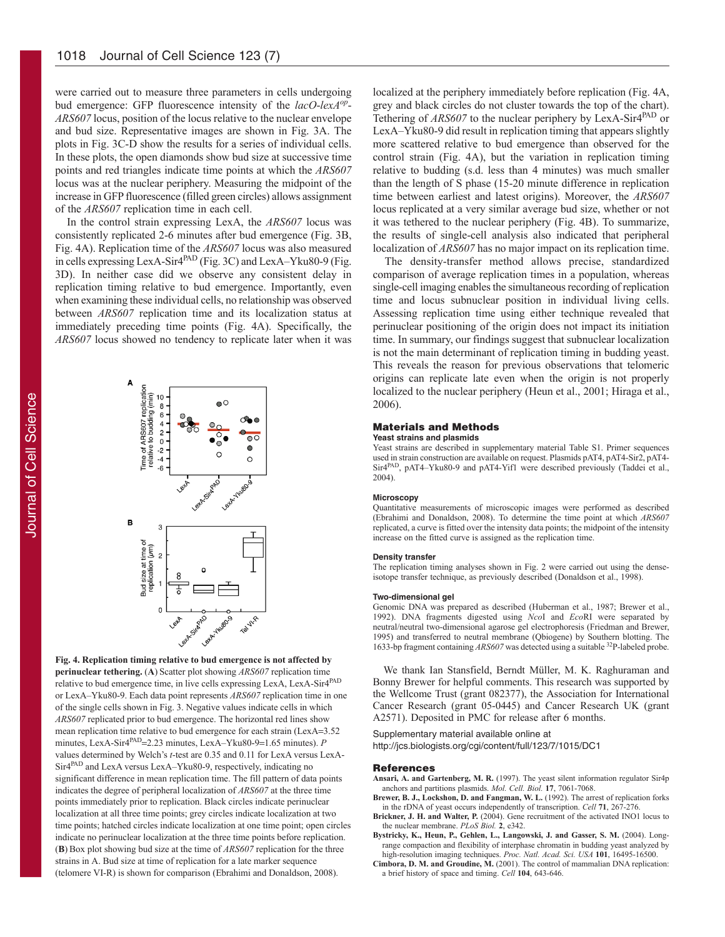were carried out to measure three parameters in cells undergoing bud emergence: GFP fluorescence intensity of the *lacO*-*lexAop*-*ARS607* locus, position of the locus relative to the nuclear envelope and bud size. Representative images are shown in Fig. 3A. The plots in Fig. 3C-D show the results for a series of individual cells. In these plots, the open diamonds show bud size at successive time points and red triangles indicate time points at which the *ARS607* locus was at the nuclear periphery. Measuring the midpoint of the increase in GFP fluorescence (filled green circles) allows assignment of the *ARS607* replication time in each cell.

In the control strain expressing LexA, the *ARS607* locus was consistently replicated 2-6 minutes after bud emergence (Fig. 3B, Fig. 4A). Replication time of the *ARS607* locus was also measured in cells expressing LexA-Sir4PAD (Fig. 3C) and LexA–Yku80-9 (Fig. 3D). In neither case did we observe any consistent delay in replication timing relative to bud emergence. Importantly, even when examining these individual cells, no relationship was observed between *ARS607* replication time and its localization status at immediately preceding time points (Fig. 4A). Specifically, the *ARS607* locus showed no tendency to replicate later when it was



**Fig. 4. Replication timing relative to bud emergence is not affected by perinuclear tethering.** (**A**) Scatter plot showing *ARS607* replication time relative to bud emergence time, in live cells expressing LexA, LexA-Sir4PAD or LexA–Yku80-9. Each data point represents *ARS607* replication time in one of the single cells shown in Fig. 3. Negative values indicate cells in which *ARS607* replicated prior to bud emergence. The horizontal red lines show mean replication time relative to bud emergence for each strain (LexA=3.52) minutes, LexA-Sir4<sup>PAD</sup>=2.23 minutes, LexA-Yku80-9=1.65 minutes). *P* values determined by Welch's *t*-test are 0.35 and 0.11 for LexA versus LexA-Sir4PAD and LexA versus LexA–Yku80-9, respectively, indicating no significant difference in mean replication time. The fill pattern of data points indicates the degree of peripheral localization of *ARS607* at the three time points immediately prior to replication. Black circles indicate perinuclear localization at all three time points; grey circles indicate localization at two time points; hatched circles indicate localization at one time point; open circles indicate no perinuclear localization at the three time points before replication. (**B**) Box plot showing bud size at the time of *ARS607* replication for the three strains in A. Bud size at time of replication for a late marker sequence (telomere VI-R) is shown for comparison (Ebrahimi and Donaldson, 2008).

localized at the periphery immediately before replication (Fig. 4A, grey and black circles do not cluster towards the top of the chart). Tethering of *ARS607* to the nuclear periphery by LexA-Sir4<sup>PAD</sup> or LexA–Yku80-9 did result in replication timing that appears slightly more scattered relative to bud emergence than observed for the control strain (Fig. 4A), but the variation in replication timing relative to budding (s.d. less than 4 minutes) was much smaller than the length of S phase (15-20 minute difference in replication time between earliest and latest origins). Moreover, the *ARS607* locus replicated at a very similar average bud size, whether or not it was tethered to the nuclear periphery (Fig. 4B). To summarize, the results of single-cell analysis also indicated that peripheral localization of *ARS607* has no major impact on its replication time.

The density-transfer method allows precise, standardized comparison of average replication times in a population, whereas single-cell imaging enables the simultaneous recording of replication time and locus subnuclear position in individual living cells. Assessing replication time using either technique revealed that perinuclear positioning of the origin does not impact its initiation time. In summary, our findings suggest that subnuclear localization is not the main determinant of replication timing in budding yeast. This reveals the reason for previous observations that telomeric origins can replicate late even when the origin is not properly localized to the nuclear periphery (Heun et al., 2001; Hiraga et al., 2006).

#### **Materials and Methods**

#### **Yeast strains and plasmids**

Yeast strains are described in supplementary material Table S1. Primer sequences used in strain construction are available on request. Plasmids pAT4, pAT4-Sir2, pAT4- Sir4PAD, pAT4–Yku80-9 and pAT4-Yif1 were described previously (Taddei et al., 2004).

#### **Microscopy**

Quantitative measurements of microscopic images were performed as described (Ebrahimi and Donaldson, 2008). To determine the time point at which *ARS607* replicated, a curve is fitted over the intensity data points; the midpoint of the intensity increase on the fitted curve is assigned as the replication time.

#### **Density transfer**

The replication timing analyses shown in Fig. 2 were carried out using the denseisotope transfer technique, as previously described (Donaldson et al., 1998).

#### **Two-dimensional gel**

Genomic DNA was prepared as described (Huberman et al., 1987; Brewer et al., 1992). DNA fragments digested using *Nco*I and *Eco*RI were separated by neutral/neutral two-dimensional agarose gel electrophoresis (Friedman and Brewer, 1995) and transferred to neutral membrane (Qbiogene) by Southern blotting. The 1633-bp fragment containing *ARS607* was detected using a suitable 32P-labeled probe.

We thank Ian Stansfield, Berndt Müller, M. K. Raghuraman and Bonny Brewer for helpful comments. This research was supported by the Wellcome Trust (grant 082377), the Association for International Cancer Research (grant 05-0445) and Cancer Research UK (grant A2571). Deposited in PMC for release after 6 months.

#### Supplementary material available online at

http://jcs.biologists.org/cgi/content/full/123/7/1015/DC1

#### **References**

**Ansari, A. and Gartenberg, M. R.** (1997). The yeast silent information regulator Sir4p anchors and partitions plasmids. *Mol. Cell. Biol.* **17**, 7061-7068.

- **Brewer, B. J., Lockshon, D. and Fangman, W. L.** (1992). The arrest of replication forks in the rDNA of yeast occurs independently of transcription. *Cell* **71**, 267-276.
- **Brickner, J. H. and Walter, P.** (2004). Gene recruitment of the activated INO1 locus to the nuclear membrane. *PLoS Biol.* **2**, e342.
- **Bystricky, K., Heun, P., Gehlen, L., Langowski, J. and Gasser, S. M.** (2004). Longrange compaction and flexibility of interphase chromatin in budding yeast analyzed by high-resolution imaging techniques. *Proc. Natl. Acad. Sci. USA* **101**, 16495-16500.
- **Cimbora, D. M. and Groudine, M.** (2001). The control of mammalian DNA replication: a brief history of space and timing. *Cell* **104**, 643-646.